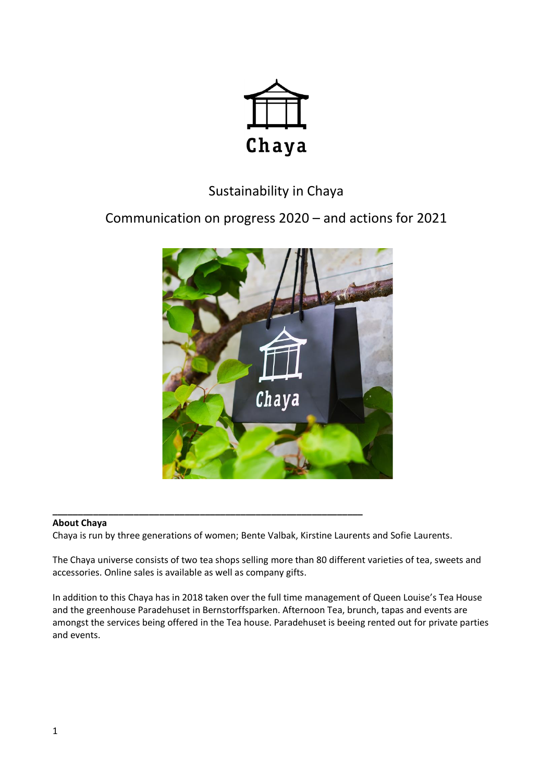

# Sustainability in Chaya

Communication on progress 2020 – and actions for 2021



## **\_\_\_\_\_\_\_\_\_\_\_\_\_\_\_\_\_\_\_\_\_\_\_\_\_\_\_\_\_\_\_\_\_\_\_\_\_\_\_\_\_\_\_\_\_\_\_\_\_\_\_\_\_\_\_\_\_\_\_\_\_ About Chaya**

Chaya is run by three generations of women; Bente Valbak, Kirstine Laurents and Sofie Laurents.

The Chaya universe consists of two tea shops selling more than 80 different varieties of tea, sweets and accessories. Online sales is available as well as company gifts.

In addition to this Chaya has in 2018 taken over the full time management of Queen Louise's Tea House and the greenhouse Paradehuset in Bernstorffsparken. Afternoon Tea, brunch, tapas and events are amongst the services being offered in the Tea house. Paradehuset is beeing rented out for private parties and events.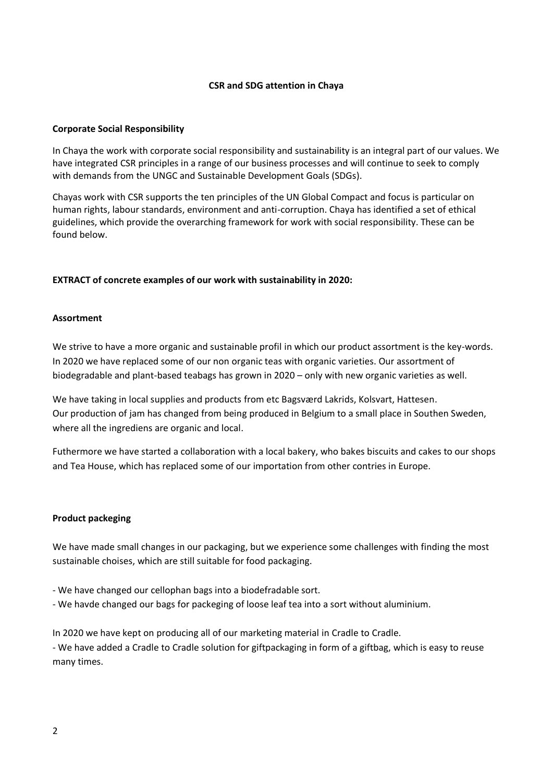# **CSR and SDG attention in Chaya**

## **Corporate Social Responsibility**

In Chaya the work with corporate social responsibility and sustainability is an integral part of our values. We have integrated CSR principles in a range of our business processes and will continue to seek to comply with demands from the UNGC and Sustainable Development Goals (SDGs).

Chayas work with CSR supports the ten principles of the UN Global Compact and focus is particular on human rights, labour standards, environment and anti-corruption. Chaya has identified a set of ethical guidelines, which provide the overarching framework for work with social responsibility. These can be found below.

## **EXTRACT of concrete examples of our work with sustainability in 2020:**

#### **Assortment**

We strive to have a more organic and sustainable profil in which our product assortment is the key-words. In 2020 we have replaced some of our non organic teas with organic varieties. Our assortment of biodegradable and plant-based teabags has grown in 2020 – only with new organic varieties as well.

We have taking in local supplies and products from etc Bagsværd Lakrids, Kolsvart, Hattesen. Our production of jam has changed from being produced in Belgium to a small place in Southen Sweden, where all the ingrediens are organic and local.

Futhermore we have started a collaboration with a local bakery, who bakes biscuits and cakes to our shops and Tea House, which has replaced some of our importation from other contries in Europe.

#### **Product packeging**

We have made small changes in our packaging, but we experience some challenges with finding the most sustainable choises, which are still suitable for food packaging.

- We have changed our cellophan bags into a biodefradable sort.
- We havde changed our bags for packeging of loose leaf tea into a sort without aluminium.

In 2020 we have kept on producing all of our marketing material in Cradle to Cradle.

- We have added a Cradle to Cradle solution for giftpackaging in form of a giftbag, which is easy to reuse many times.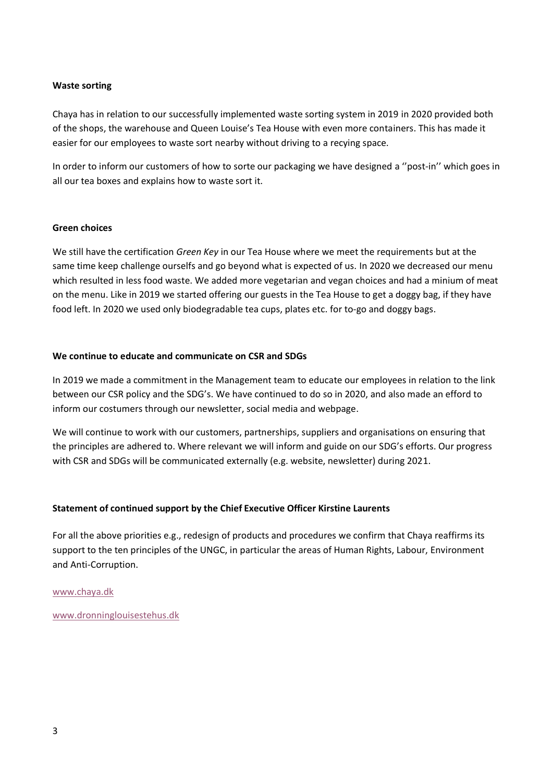# **Waste sorting**

Chaya has in relation to our successfully implemented waste sorting system in 2019 in 2020 provided both of the shops, the warehouse and Queen Louise's Tea House with even more containers. This has made it easier for our employees to waste sort nearby without driving to a recying space.

In order to inform our customers of how to sorte our packaging we have designed a ''post-in'' which goes in all our tea boxes and explains how to waste sort it.

# **Green choices**

We still have the certification *Green Key* in our Tea House where we meet the requirements but at the same time keep challenge ourselfs and go beyond what is expected of us. In 2020 we decreased our menu which resulted in less food waste. We added more vegetarian and vegan choices and had a minium of meat on the menu. Like in 2019 we started offering our guests in the Tea House to get a doggy bag, if they have food left. In 2020 we used only biodegradable tea cups, plates etc. for to-go and doggy bags.

# **We continue to educate and communicate on CSR and SDGs**

In 2019 we made a commitment in the Management team to educate our employees in relation to the link between our CSR policy and the SDG's. We have continued to do so in 2020, and also made an efford to inform our costumers through our newsletter, social media and webpage.

We will continue to work with our customers, partnerships, suppliers and organisations on ensuring that the principles are adhered to. Where relevant we will inform and guide on our SDG's efforts. Our progress with CSR and SDGs will be communicated externally (e.g. website, newsletter) during 2021.

# **Statement of continued support by the Chief Executive Officer Kirstine Laurents**

For all the above priorities e.g., redesign of products and procedures we confirm that Chaya reaffirms its support to the ten principles of the UNGC, in particular the areas of Human Rights, Labour, Environment and Anti-Corruption.

[www.chaya.dk](https://emea01.safelinks.protection.outlook.com/?url=http%3A%2F%2Fwww.chaya.dk&data=02%7C01%7C%7Ce9443b8530a048c562a208d6289a9f37%7C9894d4d7183341eeac3091fcbdb94b91%7C0%7C0%7C636741041881410572&sdata=kf%2Bwl1saWKVNctKBPSAPirQQgIva5Et7NZh8659J0PM%3D&reserved=0)

[www.dronninglouisestehus.dk](https://emea01.safelinks.protection.outlook.com/?url=http%3A%2F%2Fwww.dronninglouisestehus.dk&data=02%7C01%7C%7Ce9443b8530a048c562a208d6289a9f37%7C9894d4d7183341eeac3091fcbdb94b91%7C0%7C0%7C636741041881566822&sdata=i4GBy5FR0HMuWSXLJVh1U162CS2w%2FwxJ0%2B0jZBpn1ks%3D&reserved=0)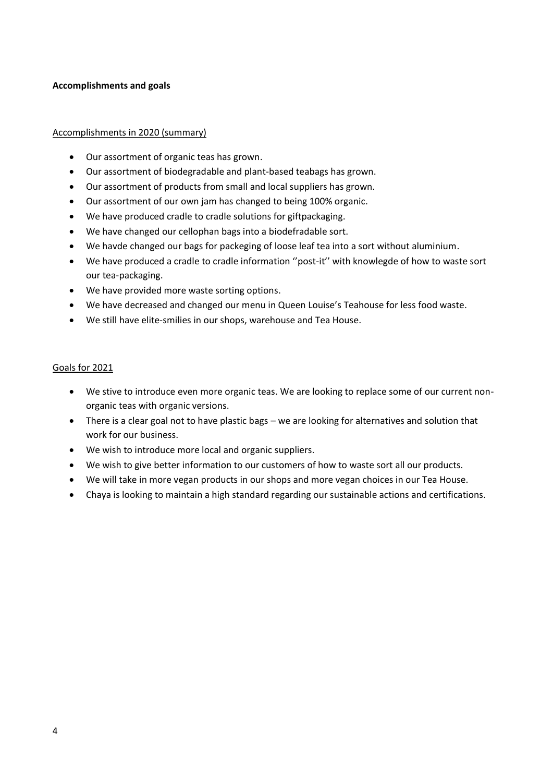# **Accomplishments and goals**

# Accomplishments in 2020 (summary)

- Our assortment of organic teas has grown.
- Our assortment of biodegradable and plant-based teabags has grown.
- Our assortment of products from small and local suppliers has grown.
- Our assortment of our own jam has changed to being 100% organic.
- We have produced cradle to cradle solutions for giftpackaging.
- We have changed our cellophan bags into a biodefradable sort.
- We havde changed our bags for packeging of loose leaf tea into a sort without aluminium.
- We have produced a cradle to cradle information ''post-it'' with knowlegde of how to waste sort our tea-packaging.
- We have provided more waste sorting options.
- We have decreased and changed our menu in Queen Louise's Teahouse for less food waste.
- We still have elite-smilies in our shops, warehouse and Tea House.

## Goals for 2021

- We stive to introduce even more organic teas. We are looking to replace some of our current nonorganic teas with organic versions.
- There is a clear goal not to have plastic bags we are looking for alternatives and solution that work for our business.
- We wish to introduce more local and organic suppliers.
- We wish to give better information to our customers of how to waste sort all our products.
- We will take in more vegan products in our shops and more vegan choices in our Tea House.
- Chaya is looking to maintain a high standard regarding our sustainable actions and certifications.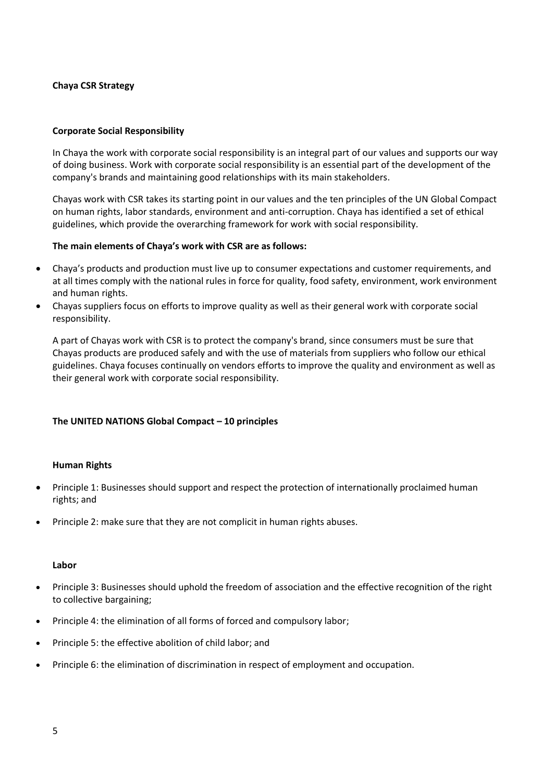# **Chaya CSR Strategy**

## **Corporate Social Responsibility**

In Chaya the work with corporate social responsibility is an integral part of our values and supports our way of doing business. Work with corporate social responsibility is an essential part of the development of the company's brands and maintaining good relationships with its main stakeholders.

Chayas work with CSR takes its starting point in our values and the ten principles of the UN Global Compact on human rights, labor standards, environment and anti-corruption. Chaya has identified a set of ethical guidelines, which provide the overarching framework for work with social responsibility.

## **The main elements of Chaya's work with CSR are as follows:**

- Chaya's products and production must live up to consumer expectations and customer requirements, and at all times comply with the national rules in force for quality, food safety, environment, work environment and human rights.
- Chayas suppliers focus on efforts to improve quality as well as their general work with corporate social responsibility.

A part of Chayas work with CSR is to protect the company's brand, since consumers must be sure that Chayas products are produced safely and with the use of materials from suppliers who follow our ethical guidelines. Chaya focuses continually on vendors efforts to improve the quality and environment as well as their general work with corporate social responsibility.

## **The UNITED NATIONS Global Compact – 10 principles**

#### **[Human Rights](http://www.unglobalcompact.org/AboutTheGC/TheTenPrinciples/humanRights.html)**

- [Principle 1:](http://www.unglobalcompact.org/AboutTheGC/TheTenPrinciples/principle1.html) Businesses should support and respect the protection of internationally proclaimed human rights; and
- [Principle 2:](http://www.unglobalcompact.org/AboutTheGC/TheTenPrinciples/Principle2.html) make sure that they are not complicit in human rights abuses.

#### **[Labor](http://www.unglobalcompact.org/AboutTheGC/TheTenPrinciples/labour.html)**

- [Principle 3:](http://www.unglobalcompact.org/AboutTheGC/TheTenPrinciples/principle3.html) Businesses should uphold the freedom of association and the effective recognition of the right to collective bargaining;
- [Principle 4:](http://www.unglobalcompact.org/AboutTheGC/TheTenPrinciples/Principle4.html) the elimination of all forms of forced and compulsory labor;
- [Principle 5:](http://www.unglobalcompact.org/AboutTheGC/TheTenPrinciples/principle5.html) the effective abolition of child labor; and
- [Principle 6:](http://www.unglobalcompact.org/AboutTheGC/TheTenPrinciples/principle6.html) the elimination of discrimination in respect of employment and occupation.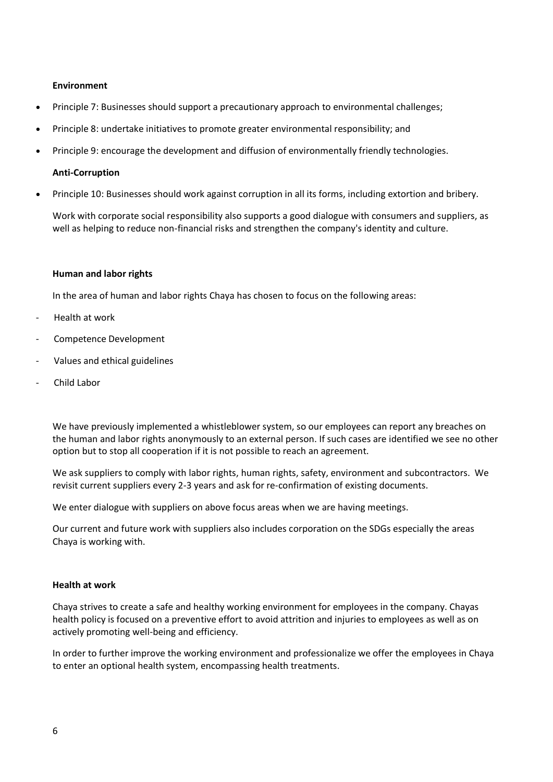## **[Environment](http://www.unglobalcompact.org/AboutTheGC/TheTenPrinciples/environment.html)**

- [Principle 7:](http://www.unglobalcompact.org/AboutTheGC/TheTenPrinciples/principle7.html) Businesses should support a precautionary approach to environmental challenges;
- [Principle 8:](http://www.unglobalcompact.org/AboutTheGC/TheTenPrinciples/principle8.html) undertake initiatives to promote greater environmental responsibility; and
- [Principle 9:](http://www.unglobalcompact.org/AboutTheGC/TheTenPrinciples/principle9.html) encourage the development and diffusion of environmentally friendly technologies.

#### **[Anti-Corruption](http://www.unglobalcompact.org/AboutTheGC/TheTenPrinciples/anti-corruption.html)**

• [Principle 10:](http://www.unglobalcompact.org/AboutTheGC/TheTenPrinciples/principle10.html) Businesses should work against corruption in all its forms, including extortion and bribery.

Work with corporate social responsibility also supports a good dialogue with consumers and suppliers, as well as helping to reduce non-financial risks and strengthen the company's identity and culture.

## **Human and labor rights**

In the area of human and labor rights Chaya has chosen to focus on the following areas:

- Health at work
- Competence Development
- Values and ethical guidelines
- Child Labor

We have previously implemented a whistleblower system, so our employees can report any breaches on the human and labor rights anonymously to an external person. If such cases are identified we see no other option but to stop all cooperation if it is not possible to reach an agreement.

We ask suppliers to comply with labor rights, human rights, safety, environment and subcontractors. We revisit current suppliers every 2-3 years and ask for re-confirmation of existing documents.

We enter dialogue with suppliers on above focus areas when we are having meetings.

Our current and future work with suppliers also includes corporation on the SDGs especially the areas Chaya is working with.

## **Health at work**

Chaya strives to create a safe and healthy working environment for employees in the company. Chayas health policy is focused on a preventive effort to avoid attrition and injuries to employees as well as on actively promoting well-being and efficiency.

In order to further improve the working environment and professionalize we offer the employees in Chaya to enter an optional health system, encompassing health treatments.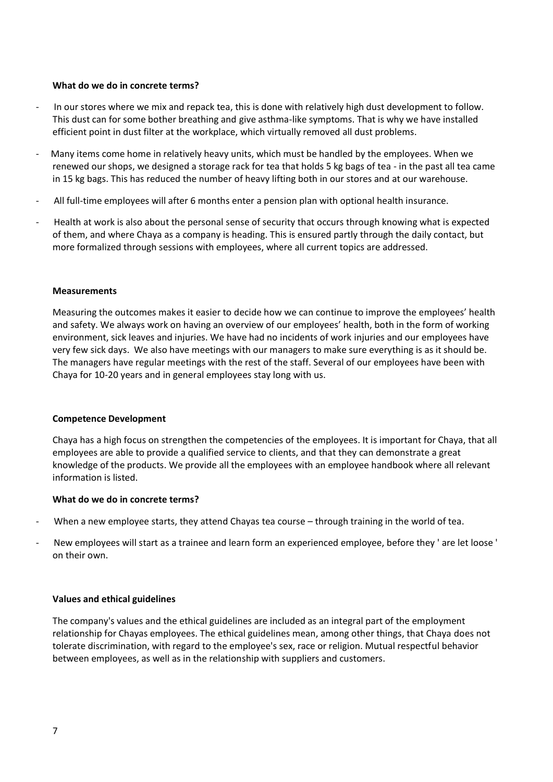## **What do we do in concrete terms?**

- In our stores where we mix and repack tea, this is done with relatively high dust development to follow. This dust can for some bother breathing and give asthma-like symptoms. That is why we have installed efficient point in dust filter at the workplace, which virtually removed all dust problems.
- Many items come home in relatively heavy units, which must be handled by the employees. When we renewed our shops, we designed a storage rack for tea that holds 5 kg bags of tea - in the past all tea came in 15 kg bags. This has reduced the number of heavy lifting both in our stores and at our warehouse.
- All full-time employees will after 6 months enter a pension plan with optional health insurance.
- Health at work is also about the personal sense of security that occurs through knowing what is expected of them, and where Chaya as a company is heading. This is ensured partly through the daily contact, but more formalized through sessions with employees, where all current topics are addressed.

## **Measurements**

Measuring the outcomes makes it easier to decide how we can continue to improve the employees' health and safety. We always work on having an overview of our employees' health, both in the form of working environment, sick leaves and injuries. We have had no incidents of work injuries and our employees have very few sick days. We also have meetings with our managers to make sure everything is as it should be. The managers have regular meetings with the rest of the staff. Several of our employees have been with Chaya for 10-20 years and in general employees stay long with us.

#### **Competence Development**

Chaya has a high focus on strengthen the competencies of the employees. It is important for Chaya, that all employees are able to provide a qualified service to clients, and that they can demonstrate a great knowledge of the products. We provide all the employees with an employee handbook where all relevant information is listed.

## **What do we do in concrete terms?**

- When a new employee starts, they attend Chayas tea course through training in the world of tea.
- New employees will start as a trainee and learn form an experienced employee, before they ' are let loose ' on their own.

## **Values and ethical guidelines**

The company's values and the ethical guidelines are included as an integral part of the employment relationship for Chayas employees. The ethical guidelines mean, among other things, that Chaya does not tolerate discrimination, with regard to the employee's sex, race or religion. Mutual respectful behavior between employees, as well as in the relationship with suppliers and customers.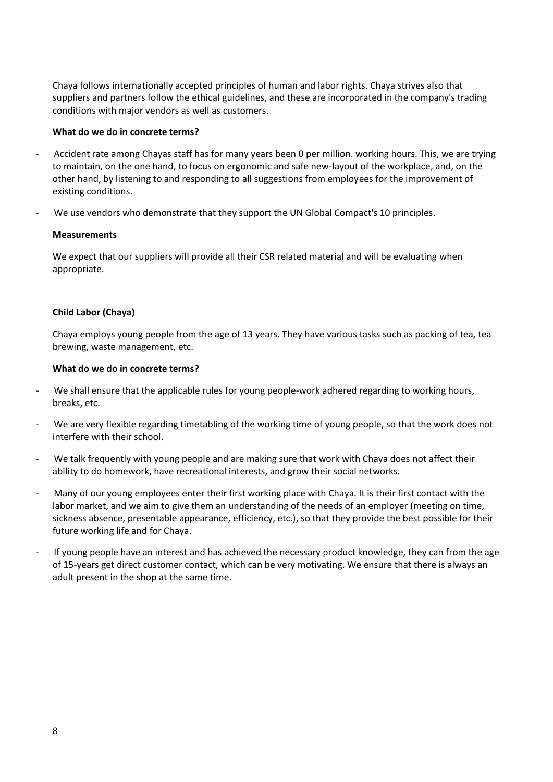Chaya follows internationally accepted principles of human and labor rights. Chaya strives also that suppliers and partners follow the ethical guidelines, and these are incorporated in the company's trading conditions with major vendors as well as customers.

## **What do we do in concrete terms?**

- Accident rate among Chayas staff has for many years been 0 per million. working hours. This, we are trying to maintain, on the one hand, to focus on ergonomic and safe new-layout of the workplace, and, on the other hand, by listening to and responding to all suggestions from employees for the improvement of existing conditions.
- We use vendors who demonstrate that they support the UN Global Compact's 10 principles.

## **Measurements**

We expect that our suppliers will provide all their CSR related material and will be evaluating when appropriate.

## **Child Labor (Chaya)**

Chaya employs young people from the age of 13 years. They have various tasks such as packing of tea, tea brewing, waste management, etc.

## **What do we do in concrete terms?**

- We shall ensure that the applicable rules for young people-work adhered regarding to working hours, breaks, etc.
- We are very flexible regarding timetabling of the working time of young people, so that the work does not interfere with their school.
- We talk frequently with young people and are making sure that work with Chaya does not affect their ability to do homework, have recreational interests, and grow their social networks.
- Many of our young employees enter their first working place with Chaya. It is their first contact with the labor market, and we aim to give them an understanding of the needs of an employer (meeting on time, sickness absence, presentable appearance, efficiency, etc.), so that they provide the best possible for their future working life and for Chaya.
- If young people have an interest and has achieved the necessary product knowledge, they can from the age of 15-years get direct customer contact, which can be very motivating. We ensure that there is always an adult present in the shop at the same time.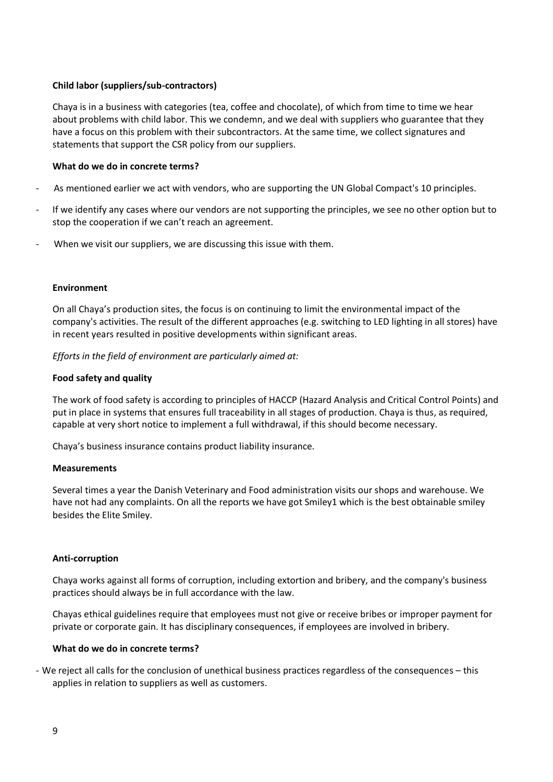# **Child labor (suppliers/sub-contractors)**

Chaya is in a business with categories (tea, coffee and chocolate), of which from time to time we hear about problems with child labor. This we condemn, and we deal with suppliers who guarantee that they have a focus on this problem with their subcontractors. At the same time, we collect signatures and statements that support the CSR policy from our suppliers.

## **What do we do in concrete terms?**

- As mentioned earlier we act with vendors, who are supporting the UN Global Compact's 10 principles.
- If we identify any cases where our vendors are not supporting the principles, we see no other option but to stop the cooperation if we can't reach an agreement.
- When we visit our suppliers, we are discussing this issue with them.

## **Environment**

On all Chaya's production sites, the focus is on continuing to limit the environmental impact of the company's activities. The result of the different approaches (e.g. switching to LED lighting in all stores) have in recent years resulted in positive developments within significant areas.

## *Efforts in the field of environment are particularly aimed at:*

## **Food safety and quality**

The work of food safety is according to principles of HACCP (Hazard Analysis and Critical Control Points) and put in place in systems that ensures full traceability in all stages of production. Chaya is thus, as required, capable at very short notice to implement a full withdrawal, if this should become necessary.

Chaya's business insurance contains product liability insurance.

#### **Measurements**

Several times a year the Danish Veterinary and Food administration visits our shops and warehouse. We have not had any complaints. On all the reports we have got Smiley1 which is the best obtainable smiley besides the Elite Smiley.

#### **Anti-corruption**

Chaya works against all forms of corruption, including extortion and bribery, and the company's business practices should always be in full accordance with the law.

Chayas ethical guidelines require that employees must not give or receive bribes or improper payment for private or corporate gain. It has disciplinary consequences, if employees are involved in bribery.

#### **What do we do in concrete terms?**

- We reject all calls for the conclusion of unethical business practices regardless of the consequences – this applies in relation to suppliers as well as customers.